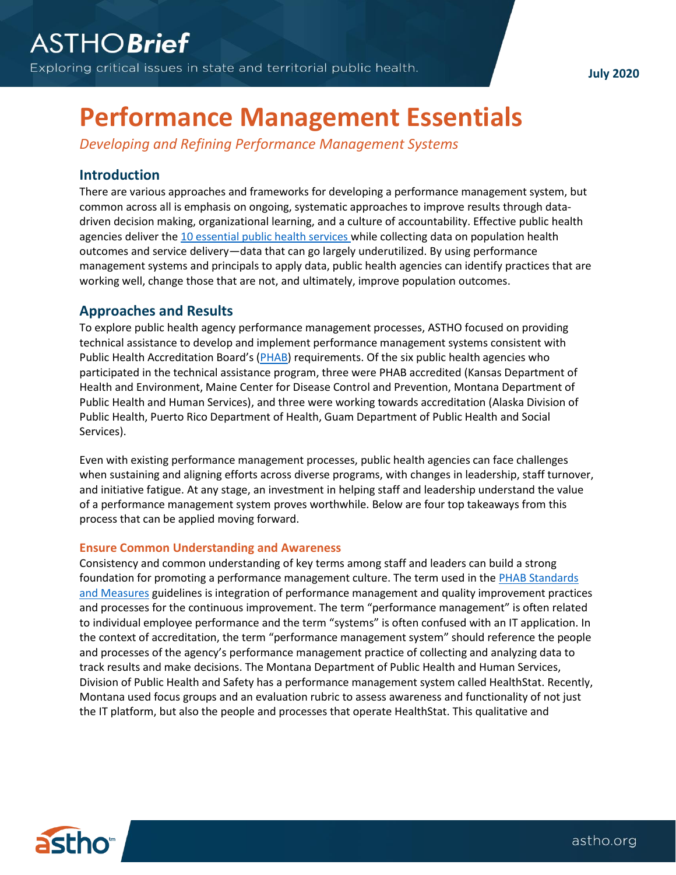**July 2020**

# **Performance Management Essentials**

*Developing and Refining Performance Management Systems*

# **Introduction**

There are various approaches and frameworks for developing a performance management system, but common across all is emphasis on ongoing, systematic approaches to improve results through datadriven decision making, organizational learning, and a culture of accountability. Effective public health agencies deliver th[e 10 essential public health services](https://www.cdc.gov/publichealthgateway/publichealthservices/essentialhealthservices.html) while collecting data on population health outcomes and service delivery—data that can go largely underutilized. By using performance management systems and principals to apply data, public health agencies can identify practices that are working well, change those that are not, and ultimately, improve population outcomes.

## **Approaches and Results**

To explore public health agency performance management processes, ASTHO focused on providing technical assistance to develop and implement performance management systems consistent with Public Health Accreditation Board's ([PHAB\)](https://www.phaboard.org/) requirements. Of the six public health agencies who participated in the technical assistance program, three were PHAB accredited (Kansas Department of Health and Environment, Maine Center for Disease Control and Prevention, Montana Department of Public Health and Human Services), and three were working towards accreditation (Alaska Division of Public Health, Puerto Rico Department of Health, Guam Department of Public Health and Social Services).

Even with existing performance management processes, public health agencies can face challenges when sustaining and aligning efforts across diverse programs, with changes in leadership, staff turnover, and initiative fatigue. At any stage, an investment in helping staff and leadership understand the value of a performance management system proves worthwhile. Below are four top takeaways from this process that can be applied moving forward.

## **Ensure Common Understanding and Awareness**

Consistency and common understanding of key terms among staff and leaders can build a strong foundation for promoting a performance management culture. The term used in the [PHAB Standards](https://www.phaboard.org/standards-and-measures-for-initial-accreditation/)  [and Measures](https://www.phaboard.org/standards-and-measures-for-initial-accreditation/) guidelines is integration of performance management and quality improvement practices and processes for the continuous improvement. The term "performance management" is often related to individual employee performance and the term "systems" is often confused with an IT application. In the context of accreditation, the term "performance management system" should reference the people and processes of the agency's performance management practice of collecting and analyzing data to track results and make decisions. The Montana Department of Public Health and Human Services, Division of Public Health and Safety has a performance management system called HealthStat. Recently, Montana used focus groups and an evaluation rubric to assess awareness and functionality of not just the IT platform, but also the people and processes that operate HealthStat. This qualitative and